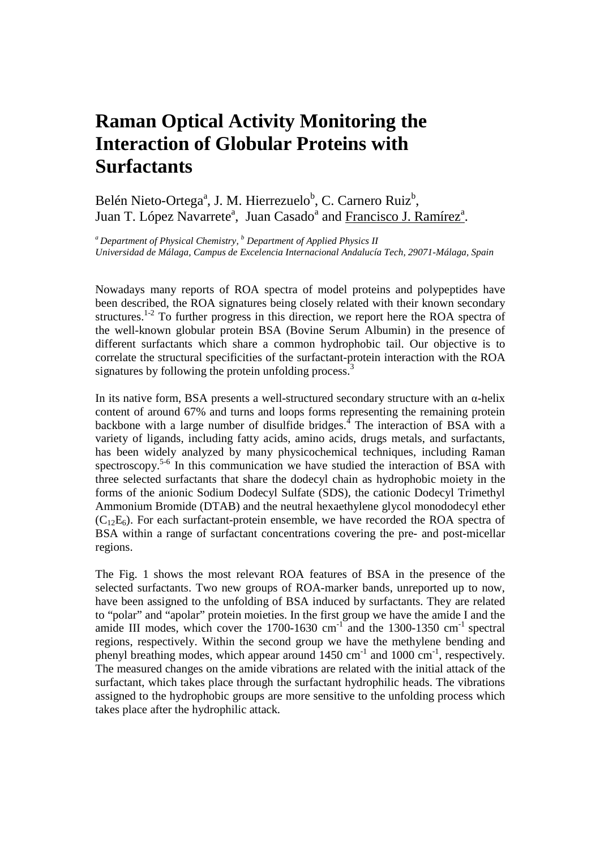## **Raman Optical Activity Monitoring the Interaction of Globular Proteins with Surfactants**

Belén Nieto-Ortega<sup>a</sup>, J. M. Hierrezuelo<sup>b</sup>, C. Carnero Ruiz<sup>b</sup>, Juan T. López Navarrete<sup>a</sup>, Juan Casado<sup>a</sup> and Francisco J. Ramírez<sup>a</sup>.

*<sup>a</sup>Department of Physical Chemistry, <sup>b</sup> Department of Applied Physics II Universidad de Málaga, Campus de Excelencia Internacional Andalucía Tech, 29071-Málaga, Spain* 

Nowadays many reports of ROA spectra of model proteins and polypeptides have been described, the ROA signatures being closely related with their known secondary structures.<sup>1-2</sup> To further progress in this direction, we report here the ROA spectra of the well-known globular protein BSA (Bovine Serum Albumin) in the presence of different surfactants which share a common hydrophobic tail. Our objective is to correlate the structural specificities of the surfactant-protein interaction with the ROA signatures by following the protein unfolding process.<sup>3</sup>

In its native form, BSA presents a well-structured secondary structure with an  $\alpha$ -helix content of around 67% and turns and loops forms representing the remaining protein backbone with a large number of disulfide bridges.<sup>4</sup> The interaction of BSA with a variety of ligands, including fatty acids, amino acids, drugs metals, and surfactants, has been widely analyzed by many physicochemical techniques, including Raman spectroscopy.<sup>5-6</sup> In this communication we have studied the interaction of BSA with three selected surfactants that share the dodecyl chain as hydrophobic moiety in the forms of the anionic Sodium Dodecyl Sulfate (SDS), the cationic Dodecyl Trimethyl Ammonium Bromide (DTAB) and the neutral hexaethylene glycol monododecyl ether  $(C<sub>12</sub>E<sub>6</sub>)$ . For each surfactant-protein ensemble, we have recorded the ROA spectra of BSA within a range of surfactant concentrations covering the pre- and post-micellar regions.

The Fig. 1 shows the most relevant ROA features of BSA in the presence of the selected surfactants. Two new groups of ROA-marker bands, unreported up to now, have been assigned to the unfolding of BSA induced by surfactants. They are related to "polar" and "apolar" protein moieties. In the first group we have the amide I and the amide III modes, which cover the 1700-1630  $cm^{-1}$  and the 1300-1350  $cm^{-1}$  spectral regions, respectively. Within the second group we have the methylene bending and phenyl breathing modes, which appear around  $1450 \text{ cm}^{-1}$  and  $1000 \text{ cm}^{-1}$ , respectively. The measured changes on the amide vibrations are related with the initial attack of the surfactant, which takes place through the surfactant hydrophilic heads. The vibrations assigned to the hydrophobic groups are more sensitive to the unfolding process which takes place after the hydrophilic attack.